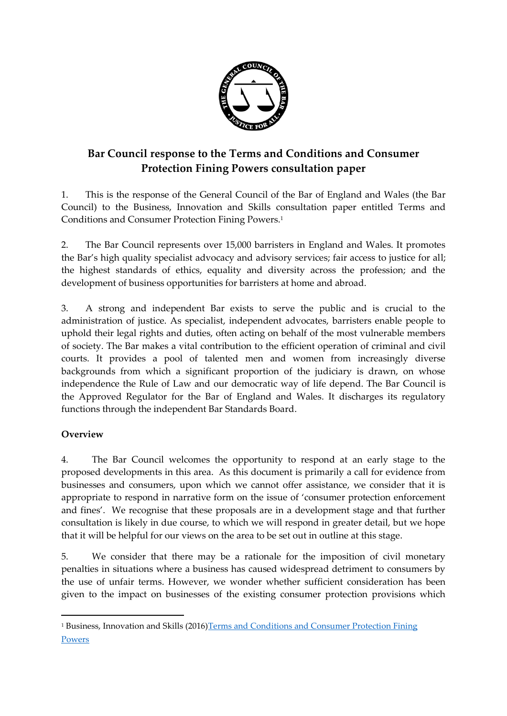

## **Bar Council response to the Terms and Conditions and Consumer Protection Fining Powers consultation paper**

1. This is the response of the General Council of the Bar of England and Wales (the Bar Council) to the Business, Innovation and Skills consultation paper entitled Terms and Conditions and Consumer Protection Fining Powers.<sup>1</sup>

2. The Bar Council represents over 15,000 barristers in England and Wales. It promotes the Bar's high quality specialist advocacy and advisory services; fair access to justice for all; the highest standards of ethics, equality and diversity across the profession; and the development of business opportunities for barristers at home and abroad.

3. A strong and independent Bar exists to serve the public and is crucial to the administration of justice. As specialist, independent advocates, barristers enable people to uphold their legal rights and duties, often acting on behalf of the most vulnerable members of society. The Bar makes a vital contribution to the efficient operation of criminal and civil courts. It provides a pool of talented men and women from increasingly diverse backgrounds from which a significant proportion of the judiciary is drawn, on whose independence the Rule of Law and our democratic way of life depend. The Bar Council is the Approved Regulator for the Bar of England and Wales. It discharges its regulatory functions through the independent Bar Standards Board.

## **Overview**

**.** 

4. The Bar Council welcomes the opportunity to respond at an early stage to the proposed developments in this area. As this document is primarily a call for evidence from businesses and consumers, upon which we cannot offer assistance, we consider that it is appropriate to respond in narrative form on the issue of 'consumer protection enforcement and fines'. We recognise that these proposals are in a development stage and that further consultation is likely in due course, to which we will respond in greater detail, but we hope that it will be helpful for our views on the area to be set out in outline at this stage.

5. We consider that there may be a rationale for the imposition of civil monetary penalties in situations where a business has caused widespread detriment to consumers by the use of unfair terms. However, we wonder whether sufficient consideration has been given to the impact on businesses of the existing consumer protection provisions which

<sup>&</sup>lt;sup>1</sup> Business, Innovation and Skills (2016)Terms and Conditions and Consumer Protection Fining [Powers](https://www.gov.uk/government/uploads/system/uploads/attachment_data/file/504063/bis-16-67-terms-and-conditions-call-for-evidence.pdf)